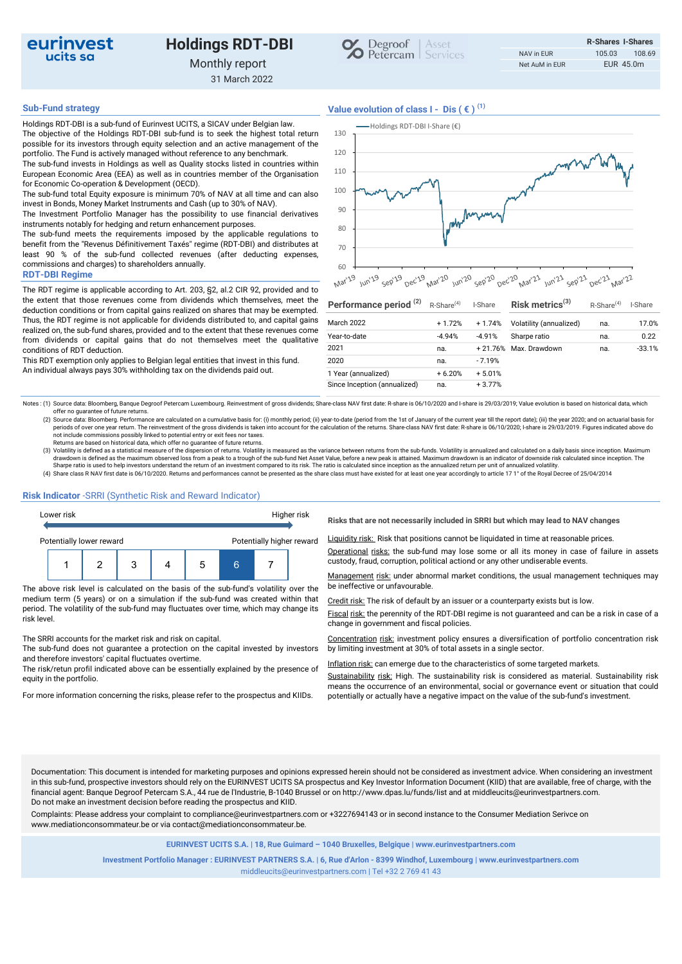

# Holdings RDT-DBI



31 March 2022

Holdings RDT-DBI is a sub-fund of Eurinvest UCITS, a SICAV under Belgian law. The objective of the Holdings RDT-DBI sub-fund is to seek the highest total return possible for its investors through equity selection and an active management of the portfolio. The Fund is actively managed without reference to any benchmark. The sub-fund invests in Holdings as well as Quality stocks listed in countries within

European Economic Area (EEA) as well as in countries member of the Organisation for Economic Co-operation & Development (OECD). The sub-fund total Equity exposure is minimum 70% of NAV at all time and can also

invest in Bonds, Money Market Instruments and Cash (up to 30% of NAV). The Investment Portfolio Manager has the possibility to use financial derivatives

instruments notably for hedging and return enhancement purposes. The sub-fund meets the requirements imposed by the applicable regulations to

benefit from the "Revenus Définitivement Taxés" regime (RDT-DBI) and distributes at least 90 % of the sub-fund collected revenues (after deducting expenses, commissions and charges) to shareholders annually.

## RDT-DBI Regime

The RDT regime is applicable according to Art. 203, §2, al.2 CIR 92, provided and to the extent that those revenues come from dividends which themselves, meet the deduction conditions or from capital gains realized on shares that may be exempted. Thus, the RDT regime is not applicable for dividends distributed to, and capital gains realized on, the sub-fund shares, provided and to the extent that these revenues come from dividends or capital gains that do not themselves meet the qualitative conditions of RDT deduction.

This RDT exemption only applies to Belgian legal entities that invest in this fund. An individual always pays 30% withholding tax on the dividends paid out.



 $70 +$  $60 + \longrightarrow + \longrightarrow + \longrightarrow + \longrightarrow + \longrightarrow + \longrightarrow$ **Mar**<sup>129</sup> Jun'19 sep<sup>119</sup> Dec'19 Mar'20 Jun'20 sep'20 Dec'20 Mar'21 Jun'21 sep'21 Dec'21 Mar'22

| Performance period <sup>(2)</sup> | $R$ -Share <sup>(4)</sup> | I-Share   | Risk metrics $(3)$      | $R$ -Share <sup>(4)</sup> | I-Share  |
|-----------------------------------|---------------------------|-----------|-------------------------|---------------------------|----------|
| March 2022                        | $+1.72%$                  | $+1.74%$  | Volatility (annualized) | na.                       | 17.0%    |
| Year-to-date                      | $-4.94%$                  | $-4.91%$  | Sharpe ratio            | na.                       | 0.22     |
| 2021                              | na.                       | $+21.76%$ | Max. Drawdown           | na.                       | $-33.1%$ |
| 2020                              | na.                       | $-7.19%$  |                         |                           |          |
| 1 Year (annualized)               | $+6.20%$                  | $+5.01%$  |                         |                           |          |
| Since Inception (annualized)      | na.                       | $+3.77%$  |                         |                           |          |

Notes : (1) Source data: Bloomberg, Banque Degroof Petercam Luxembourg. Reinvestment of gross dividends; Share-class NAV first date: R-share is 06/10/2020 and I-share is 29/03/2019; Value evolution is based on historical d offer no guarantee of future returns.

(2) Source data: Bloomberg. Performance are calculated on a cumulative basis for: (i) monthly period; (ii) year-to-date (period from the 1st of January of the current year till the report date); (iii) the year 2020; and on

Returns are based on historical data, which offer no guarantee of future returns.<br>(3) Volatility is defined as a statistical measure of the dispersion of returns. Volatility is measured as the variance between returns from drawdown is defined as the maximum observed loss from a peak to a trough of the sub-fund Net Asset Value, before a new peak is attained. Maximum drawdown is an indicator of downside risk calculated since inception. The<br>Sha

(4) Share class R NAV first date is 06/10/2020. Returns and performances cannot be presented as the share class must have existed for at least one year accordingly to article 17 1° of the Royal Decree of 25/04/2014

# Risk Indicator -SRRI (Synthetic Risk and Reward Indicator)



The above risk level is calculated on the basis of the sub-fund's volatility over the be ineffective or unfavourable. medium term (5 years) or on a simulation if the sub-fund was created within that period. The volatility of the sub-fund may fluctuates over time, which may change its risk level.

### The SRRI accounts for the market risk and risk on capital.

The sub-fund does not guarantee a protection on the capital invested by investors and therefore investors' capital fluctuates overtime.

The risk/retun profil indicated above can be essentially explained by the presence of equity in the portfolio.

Risks that are not necessarily included in SRRI but which may lead to NAV changes

Liquidity risk: Risk that positions cannot be liquidated in time at reasonable prices.

Operational risks: the sub-fund may lose some or all its money in case of failure in assets

Management risk: under abnormal market conditions, the usual management techniques may

Credit risk: The risk of default by an issuer or a counterparty exists but is low.

Fiscal risk: the perennity of the RDT-DBI regime is not guaranteed and can be a risk in case of a change in government and fiscal policies.

Concentration risk: investment policy ensures a diversification of portfolio concentration risk by limiting investment at 30% of total assets in a single sector.

Inflation risk: can emerge due to the characteristics of some targeted markets.

Sustainability risk: High. The sustainability risk is considered as material. Sustainability risk means the occurrence of an environmental, social or governance event or situation that could For more information concerning the risks, please refer to the prospectus and KIIDs. potentially or actually have a negative impact on the value of the sub-fund's investment.

Documentation: This document is intended for marketing purposes and opinions expressed herein should not be considered as investment advice. When considering an investment in this sub-fund, prospective investors should rely on the EURINVEST UCITS SA prospectus and Key Investor Information Document (KIID) that are available, free of charge, with the financial agent: Banque Degroof Petercam S.A., 44 rue de l'Industrie, B-1040 Brussel or on http://www.dpas.lu/funds/list and at middleucits@eurinvestpartners.com. Do not make an investment decision before reading the prospectus and KIID.

Complaints: Please address your complaint to compliance@eurinvestpartners.com or +3227694143 or in second instance to the Consumer Mediation Serivce on www.mediationconsommateur.be or via contact@mediationconsommateur.be.

EURINVEST UCITS S.A. | 18, Rue Guimard – 1040 Bruxelles, Belgique | www.eurinvestpartners.com

Investment Portfolio Manager : EURINVEST PARTNERS S.A. | 6, Rue d'Arlon - 8399 Windhof, Luxembourg | www.eurinvestpartners.com middleucits@eurinvestpartners.com | Tel +32 2 769 41 43



Sub-Fund strategy  $V$ alue evolution of class  $I - Dis$  ( $\in$ )<sup>(1)</sup>